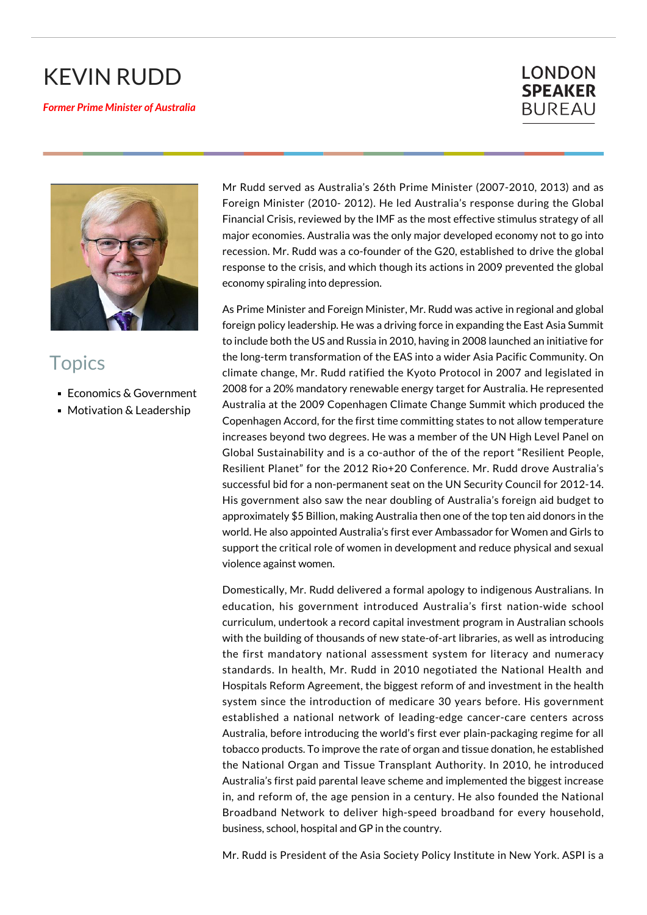## KEVIN RUDD

## *Former Prime Minister of Australia*

## **LONDON SPEAKER BUREAU**



## **Topics**

- Economics & Government
- **Motivation & Leadership**

Mr Rudd served as Australia's 26th Prime Minister (2007-2010, 2013) and as Foreign Minister (2010- 2012). He led Australia's response during the Global Financial Crisis, reviewed by the IMF as the most effective stimulus strategy of all major economies. Australia was the only major developed economy not to go into recession. Mr. Rudd was a co-founder of the G20, established to drive the global response to the crisis, and which though its actions in 2009 prevented the global economy spiraling into depression.

As Prime Minister and Foreign Minister, Mr. Rudd was active in regional and global foreign policy leadership. He was a driving force in expanding the East Asia Summit to include both the US and Russia in 2010, having in 2008 launched an initiative for the long-term transformation of the EAS into a wider Asia Pacific Community. On climate change, Mr. Rudd ratified the Kyoto Protocol in 2007 and legislated in 2008 for a 20% mandatory renewable energy target for Australia. He represented Australia at the 2009 Copenhagen Climate Change Summit which produced the Copenhagen Accord, for the first time committing states to not allow temperature increases beyond two degrees. He was a member of the UN High Level Panel on Global Sustainability and is a co-author of the of the report "Resilient People, Resilient Planet" for the 2012 Rio+20 Conference. Mr. Rudd drove Australia's successful bid for a non-permanent seat on the UN Security Council for 2012-14. His government also saw the near doubling of Australia's foreign aid budget to approximately \$5 Billion, making Australia then one of the top ten aid donors in the world. He also appointed Australia's first ever Ambassador for Women and Girls to support the critical role of women in development and reduce physical and sexual violence against women.

Domestically, Mr. Rudd delivered a formal apology to indigenous Australians. In education, his government introduced Australia's first nation-wide school curriculum, undertook a record capital investment program in Australian schools with the building of thousands of new state-of-art libraries, as well as introducing the first mandatory national assessment system for literacy and numeracy standards. In health, Mr. Rudd in 2010 negotiated the National Health and Hospitals Reform Agreement, the biggest reform of and investment in the health system since the introduction of medicare 30 years before. His government established a national network of leading-edge cancer-care centers across Australia, before introducing the world's first ever plain-packaging regime for all tobacco products. To improve the rate of organ and tissue donation, he established the National Organ and Tissue Transplant Authority. In 2010, he introduced Australia's first paid parental leave scheme and implemented the biggest increase in, and reform of, the age pension in a century. He also founded the National Broadband Network to deliver high-speed broadband for every household, business, school, hospital and GP in the country.

Mr. Rudd is President of the Asia Society Policy Institute in New York. ASPI is a